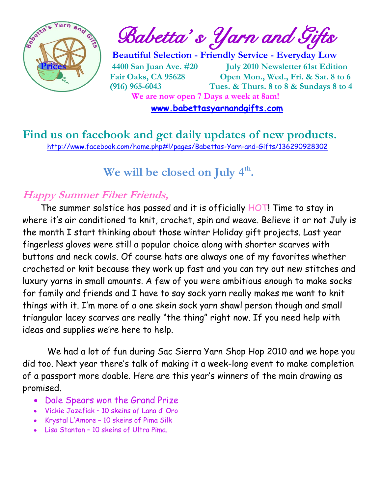

 $\int_{a}^{\frac{1}{2} \cdot \cdot \cdot \cdot \cdot a_{n-1}} \cdot \cdot \cdot a_{n}$  Babetta's Yarn and Gifts

 **Beautiful Selection - Friendly Service - Everyday Low Prices 4400 San Juan Ave. #20 July 2010 Newsletter 61st Edition Fair Oaks, CA 95628 Open Mon., Wed., Fri. & Sat. 8 to 6 (916) 965-6043 Tues. & Thurs. 8 to 8 & Sundays 8 to 4 We are now open 7 Days a week at 8am!** 

 **[www.babettasyarnandgifts.com](http://www.babettasyarnandgifts.com/)**

**Find us on facebook and get daily updates of new products.**  <http://www.facebook.com/home.php#!/pages/Babettas-Yarn-and-Gifts/136290928302>

## **We will be closed on July 4th .**

### **Happy Summer Fiber Friends,**

The summer solstice has passed and it is officially HOT! Time to stay in where it's air conditioned to knit, crochet, spin and weave. Believe it or not July is the month I start thinking about those winter Holiday gift projects. Last year fingerless gloves were still a popular choice along with shorter scarves with buttons and neck cowls. Of course hats are always one of my favorites whether crocheted or knit because they work up fast and you can try out new stitches and luxury yarns in small amounts. A few of you were ambitious enough to make socks for family and friends and I have to say sock yarn really makes me want to knit things with it. I'm more of a one skein sock yarn shawl person though and small triangular lacey scarves are really "the thing" right now. If you need help with ideas and supplies we're here to help.

 We had a lot of fun during Sac Sierra Yarn Shop Hop 2010 and we hope you did too. Next year there's talk of making it a week-long event to make completion of a passport more doable. Here are this year's winners of the main drawing as promised.

- Dale Spears won the Grand Prize
- Vickie Jozefiak 10 skeins of Lana d' Oro
- Krystal L'Amore 10 skeins of Pima Silk
- Lisa Stanton 10 skeins of Ultra Pima.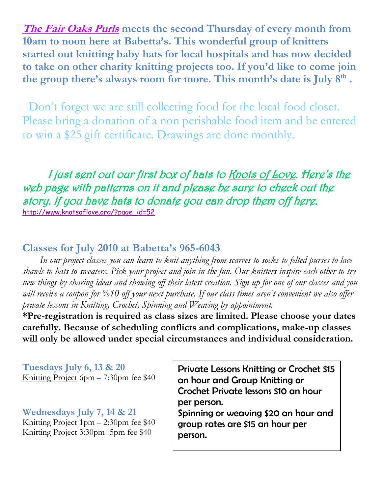**The Fair Oaks Purls meets the second Thursday of every month from 10am to noon here at Babetta's. This wonderful group of knitters started out knitting baby hats for local hospitals and has now decided to take on other charity knitting projects too. If you'd like to come join the group there's always room for more. This month's date is July 8th .**

Don't forget we are still collecting food for the local food closet. Please bring a donation of a non perishable food item and be entered to win a \$25 gift certificate. Drawings are done monthly.

I just sent out our first box of hats to Knots of Love. Here's the web page with patterns on it and please be sure to check out the story. If you have hats to donate you can drop them off here. [http://www.knotsoflove.org/?page\\_id=52](http://www.knotsoflove.org/?page_id=52) 

### **Classes for July 2010 at Babetta's 965-6043**

 *In our project classes you can learn to knit anything from scarves to socks to felted purses to lace shawls to hats to sweaters. Pick your project and join in the fun. Our knitters inspire each other to try new things by sharing ideas and showing off their latest creation. Sign up for one of our classes and you will receive a coupon for %10 off your next purchase. If our class times aren't convenient we also offer private lessons in Knitting, Crochet, Spinning and Weaving by appointment.*

**\*Pre-registration is required as class sizes are limited. Please choose your dates carefully. Because of scheduling conflicts and complications, make-up classes will only be allowed under special circumstances and individual consideration.**

**Tuesdays July 6, 13 & 20** Knitting Project 6pm – 7:30pm fee \$40

#### **Wednesdays July 7, 14 & 21**

Knitting Project 1pm – 2:30pm fee \$40 Knitting Project 3:30pm- 5pm fee \$40

Private Lessons Knitting or Crochet \$15 an hour and Group Knitting or Crochet Private lessons \$10 an hour per person.

Spinning or weaving \$20 an hour and group rates are \$15 an hour per person.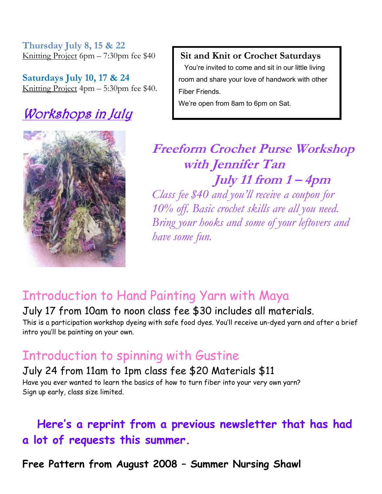**Thursday July 8, 15 & 22** Knitting Project 6pm – 7:30pm fee \$40

**Saturdays July 10, 17 & 24** Knitting Project 4pm – 5:30pm fee \$40.

# Workshops in July



**Sit and Knit or Crochet Saturdays**

 You're invited to come and sit in our little living room and share your love of handwork with other Fiber Friends.

We're open from 8am to 6pm on Sat.

## **Freeform Crochet Purse Workshop with Jennifer Tan July 11 from 1 – 4pm**

*Class fee \$40 and you'll receive a coupon for 10% off. Basic crochet skills are all you need. Bring your hooks and some of your leftovers and have some fun.* 

## Introduction to Hand Painting Yarn with Maya

July 17 from 10am to noon class fee \$30 includes all materials. This is a participation workshop dyeing with safe food dyes. You'll receive un-dyed yarn and after a brief intro you'll be painting on your own.

## Introduction to spinning with Gustine

July 24 from 11am to 1pm class fee \$20 Materials \$11 Have you ever wanted to learn the basics of how to turn fiber into your very own yarn? Sign up early, class size limited.

 **Here's a reprint from a previous newsletter that has had a lot of requests this summer.**

**Free Pattern from August 2008 – Summer Nursing Shawl**